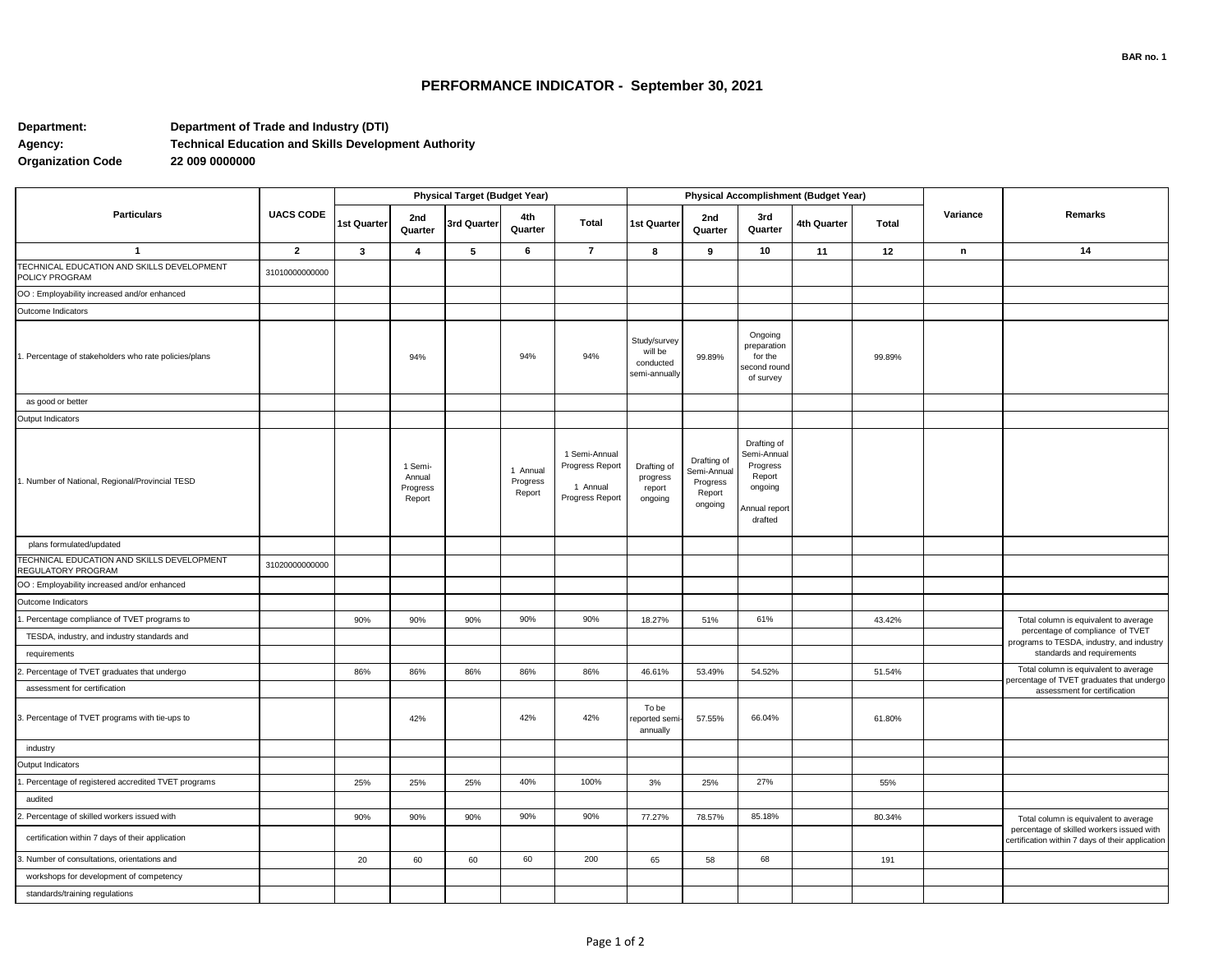## **PERFORMANCE INDICATOR - September 30, 2021**

## **Department: Department of Trade and Industry (DTI) Agency: Technical Education and Skills Development Authority Organization Code**

| <b>Particulars</b>                                               | <b>UACS CODE</b> | <b>Physical Target (Budget Year)</b> |                                         |             |                                |                                                                 | Physical Accomplishment (Budget Year)                 |                                                             |                                                                                         |             |              |          |                                                                                                                                        |
|------------------------------------------------------------------|------------------|--------------------------------------|-----------------------------------------|-------------|--------------------------------|-----------------------------------------------------------------|-------------------------------------------------------|-------------------------------------------------------------|-----------------------------------------------------------------------------------------|-------------|--------------|----------|----------------------------------------------------------------------------------------------------------------------------------------|
|                                                                  |                  | 1st Quarter                          | 2nd<br>Quarter                          | 3rd Quarter | 4th<br>Quarter                 | <b>Total</b>                                                    | 1st Quarter                                           | 2nd<br>Quarter                                              | 3rd<br>Quarter                                                                          | 4th Quarter | <b>Total</b> | Variance | Remarks                                                                                                                                |
| $\overline{1}$                                                   | $\overline{2}$   | $\mathbf{3}$                         | $\overline{4}$                          | 5           | 6                              | $\overline{7}$                                                  | 8                                                     | 9                                                           | 10                                                                                      | 11          | 12           | n        | 14                                                                                                                                     |
| TECHNICAL EDUCATION AND SKILLS DEVELOPMENT<br>POLICY PROGRAM     | 31010000000000   |                                      |                                         |             |                                |                                                                 |                                                       |                                                             |                                                                                         |             |              |          |                                                                                                                                        |
| OO : Employability increased and/or enhanced                     |                  |                                      |                                         |             |                                |                                                                 |                                                       |                                                             |                                                                                         |             |              |          |                                                                                                                                        |
| Outcome Indicators                                               |                  |                                      |                                         |             |                                |                                                                 |                                                       |                                                             |                                                                                         |             |              |          |                                                                                                                                        |
| Percentage of stakeholders who rate policies/plans               |                  |                                      | 94%                                     |             | 94%                            | 94%                                                             | Study/survey<br>will be<br>conducted<br>semi-annually | 99.89%                                                      | Ongoing<br>preparation<br>for the<br>second round<br>of survey                          |             | 99.89%       |          |                                                                                                                                        |
| as good or better                                                |                  |                                      |                                         |             |                                |                                                                 |                                                       |                                                             |                                                                                         |             |              |          |                                                                                                                                        |
| Output Indicators                                                |                  |                                      |                                         |             |                                |                                                                 |                                                       |                                                             |                                                                                         |             |              |          |                                                                                                                                        |
| 1. Number of National, Regional/Provincial TESD                  |                  |                                      | 1 Semi-<br>Annual<br>Progress<br>Report |             | 1 Annual<br>Progress<br>Report | 1 Semi-Annual<br>Progress Report<br>1 Annual<br>Progress Report | Drafting of<br>progress<br>report<br>ongoing          | Drafting of<br>Semi-Annual<br>Progress<br>Report<br>ongoing | Drafting of<br>Semi-Annual<br>Progress<br>Report<br>ongoing<br>Annual report<br>drafted |             |              |          |                                                                                                                                        |
| plans formulated/updated                                         |                  |                                      |                                         |             |                                |                                                                 |                                                       |                                                             |                                                                                         |             |              |          |                                                                                                                                        |
| TECHNICAL EDUCATION AND SKILLS DEVELOPMENT<br>REGULATORY PROGRAM | 31020000000000   |                                      |                                         |             |                                |                                                                 |                                                       |                                                             |                                                                                         |             |              |          |                                                                                                                                        |
| OO : Employability increased and/or enhanced                     |                  |                                      |                                         |             |                                |                                                                 |                                                       |                                                             |                                                                                         |             |              |          |                                                                                                                                        |
| Outcome Indicators                                               |                  |                                      |                                         |             |                                |                                                                 |                                                       |                                                             |                                                                                         |             |              |          |                                                                                                                                        |
| Percentage compliance of TVET programs to                        |                  | 90%                                  | 90%                                     | 90%         | 90%                            | 90%                                                             | 18.27%                                                | 51%                                                         | 61%                                                                                     |             | 43.42%       |          | Total column is equivalent to average                                                                                                  |
| TESDA, industry, and industry standards and                      |                  |                                      |                                         |             |                                |                                                                 |                                                       |                                                             |                                                                                         |             |              |          | percentage of compliance of TVET<br>programs to TESDA, industry, and industry<br>standards and requirements                            |
| requirements                                                     |                  |                                      |                                         |             |                                |                                                                 |                                                       |                                                             |                                                                                         |             |              |          |                                                                                                                                        |
| Percentage of TVET graduates that undergo                        |                  | 86%                                  | 86%                                     | 86%         | 86%                            | 86%                                                             | 46.61%                                                | 53.49%                                                      | 54.52%                                                                                  |             | 51.54%       |          | Total column is equivalent to average<br>percentage of TVET graduates that undergo                                                     |
| assessment for certification                                     |                  |                                      |                                         |             |                                |                                                                 |                                                       |                                                             |                                                                                         |             |              |          | assessment for certification                                                                                                           |
| . Percentage of TVET programs with tie-ups to                    |                  |                                      | 42%                                     |             | 42%                            | 42%                                                             | To be<br>eported sem<br>annually                      | 57.55%                                                      | 66.04%                                                                                  |             | 61.80%       |          |                                                                                                                                        |
| industry                                                         |                  |                                      |                                         |             |                                |                                                                 |                                                       |                                                             |                                                                                         |             |              |          |                                                                                                                                        |
| Output Indicators                                                |                  |                                      |                                         |             |                                |                                                                 |                                                       |                                                             |                                                                                         |             |              |          |                                                                                                                                        |
| Percentage of registered accredited TVET programs                |                  | 25%                                  | 25%                                     | 25%         | 40%                            | 100%                                                            | 3%                                                    | 25%                                                         | 27%                                                                                     |             | 55%          |          |                                                                                                                                        |
| audited                                                          |                  |                                      |                                         |             |                                |                                                                 |                                                       |                                                             |                                                                                         |             |              |          |                                                                                                                                        |
| Percentage of skilled workers issued with                        |                  | 90%                                  | 90%                                     | 90%         | 90%                            | 90%                                                             | 77.27%                                                | 78.57%                                                      | 85.18%                                                                                  |             | 80.34%       |          | Total column is equivalent to average<br>percentage of skilled workers issued with<br>certification within 7 days of their application |
| certification within 7 days of their application                 |                  |                                      |                                         |             |                                |                                                                 |                                                       |                                                             |                                                                                         |             |              |          |                                                                                                                                        |
| Number of consultations, orientations and                        |                  | 20                                   | 60                                      | 60          | 60                             | 200                                                             | 65                                                    | 58                                                          | 68                                                                                      |             | 191          |          |                                                                                                                                        |
| workshops for development of competency                          |                  |                                      |                                         |             |                                |                                                                 |                                                       |                                                             |                                                                                         |             |              |          |                                                                                                                                        |
| standards/training regulations                                   |                  |                                      |                                         |             |                                |                                                                 |                                                       |                                                             |                                                                                         |             |              |          |                                                                                                                                        |